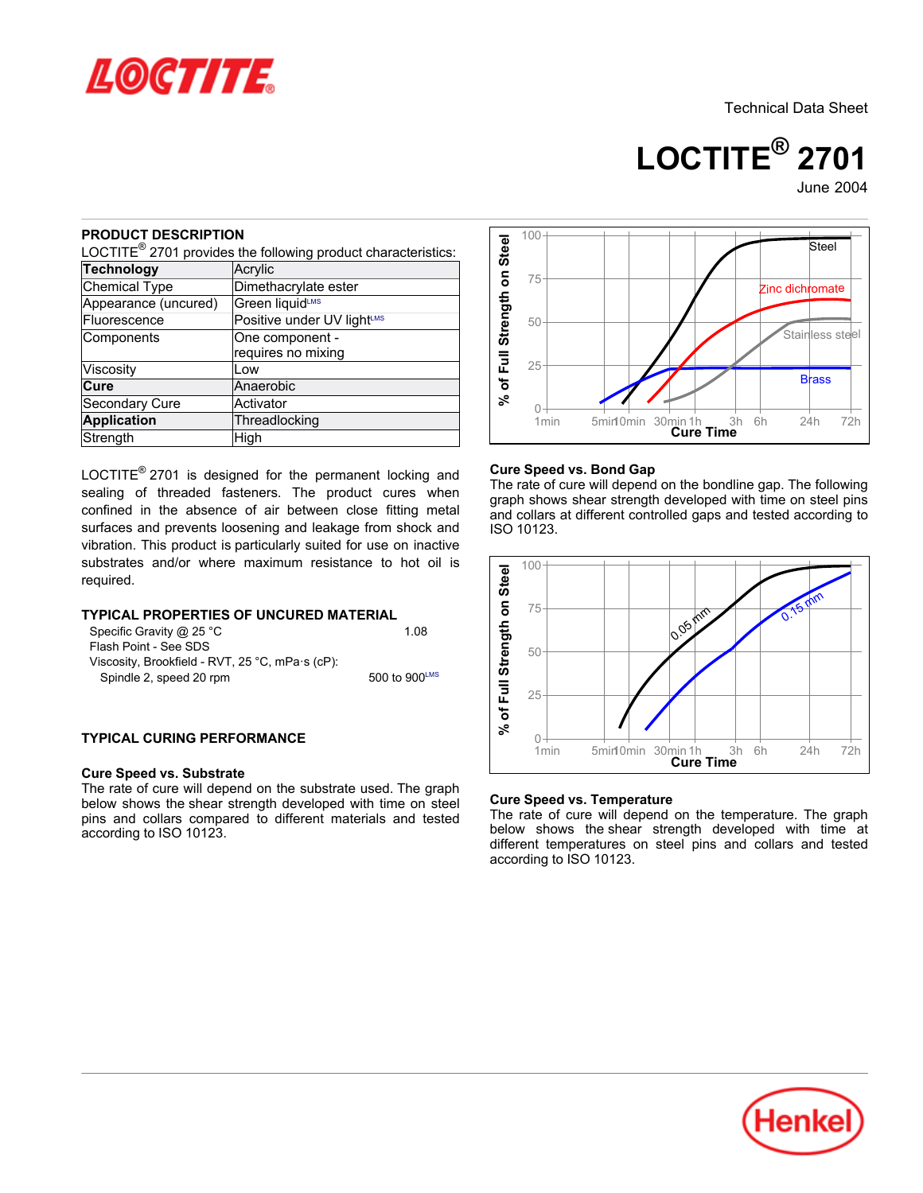

Technical Data Sheet

**LOCTITE® 2701**

June-2004

## **PRODUCT DESCRIPTION**

| NUDUU I DEJUNIF HUN                                                                                                                          | LOCTITE <sup>®</sup> 2701 provides the following product characteristics:                                                                                                                         | % of Full Strength on Steel |  |
|----------------------------------------------------------------------------------------------------------------------------------------------|---------------------------------------------------------------------------------------------------------------------------------------------------------------------------------------------------|-----------------------------|--|
| <b>Technology</b>                                                                                                                            | Acrylic                                                                                                                                                                                           |                             |  |
| Chemical Type                                                                                                                                | Dimethacrylate ester                                                                                                                                                                              |                             |  |
| Appearance (uncured)                                                                                                                         | Green liquidLMS                                                                                                                                                                                   |                             |  |
| Fluorescence                                                                                                                                 | Positive under UV light <sup>LMS</sup>                                                                                                                                                            |                             |  |
| Components                                                                                                                                   | One component -<br>requires no mixing                                                                                                                                                             |                             |  |
| Viscosity                                                                                                                                    | Low                                                                                                                                                                                               |                             |  |
| Cure                                                                                                                                         | Anaerobic                                                                                                                                                                                         |                             |  |
| Secondary Cure                                                                                                                               | Activator                                                                                                                                                                                         |                             |  |
| <b>Application</b>                                                                                                                           | Threadlocking                                                                                                                                                                                     |                             |  |
| Strength                                                                                                                                     | High                                                                                                                                                                                              |                             |  |
| required.<br>Specific Gravity @ 25 °C<br>Flash Point - See SDS<br>Viscosity, Brookfield - RVT, 25 °C, mPa·s (cP):<br>Spindle 2, speed 20 rpm | vibration. This product is particularly suited for use on inactive<br>substrates and/or where maximum resistance to hot oil is<br>TYPICAL PROPERTIES OF UNCURED MATERIAL<br>1.08<br>500 to 900LMS | % of Full Strength on Steel |  |
| <b>TYPICAL CURING PERFORMANCE</b><br><b>Cure Speed vs. Substrate</b>                                                                         | The rate of cure will depend on the substrate used. The graph                                                                                                                                     |                             |  |
| according to ISO 10123.                                                                                                                      | below shows the shear strength developed with time on steel<br>pins and collars compared to different materials and tested                                                                        | Cur<br>The<br>belo          |  |

### **TYPICAL PROPERTIES OF UNCURED MATERIAL**

| Specific Gravity @ 25 °C                        | 1.08             |
|-------------------------------------------------|------------------|
| Flash Point - See SDS                           |                  |
| Viscosity, Brookfield - RVT, 25 °C, mPa s (cP): |                  |
| Spindle 2, speed 20 rpm                         | 500 to 900 $LMS$ |

### **TYPICAL CURING PERFORMANCE**

#### **Cure Speed vs. Substrate**



### **Cure Speed vs. Bond Gap**

The rate of cure will depend on the bondline gap. The following graph shows shear strength developed with time on steel pins and collars at different controlled gaps and tested according to ISO 10123.



#### **Cure Speed vs. Temperature**

The rate of cure will depend on the temperature. The graph below shows the shear strength developed with time at different temperatures on steel pins and collars and tested according to ISO 10123.

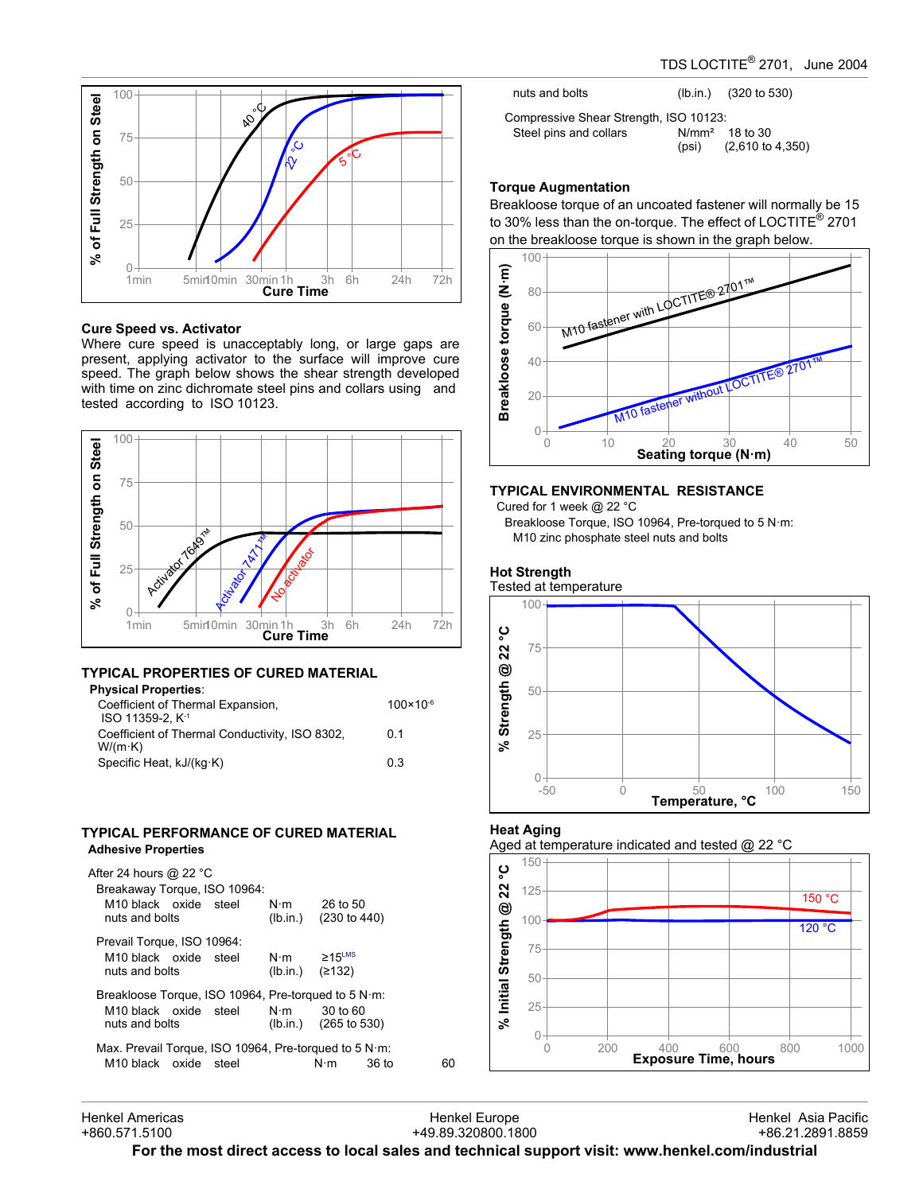

#### **Cure Speed vs. Activator**

Where cure speed is unacceptably long, or large gaps are present, applying activator to the surface will improve cure speed. The graph below shows the shear strength developed with time on zinc dichromate steel pins and collars using and tested according to ISO 10123.



### **TYPICAL PROPERTIES OF CURED MATERIAL Physical Properties**:

| Coefficient of Thermal Expansion,<br>ISO 11359-2. K <sup>-1</sup> | $100 \times 10^{-6}$ |
|-------------------------------------------------------------------|----------------------|
| Coefficient of Thermal Conductivity, ISO 8302,<br>$W/(m \cdot K)$ | 0 1                  |
| Specific Heat, $kJ/(kq \cdot K)$                                  | 03                   |

#### **TYPICAL PERFORMANCE OF CURED MATERIAL Adhesive Properties**

| After 24 hours @ 22 °C<br>Breakaway Torque, ISO 10964:        |             |                                                   |       |    |
|---------------------------------------------------------------|-------------|---------------------------------------------------|-------|----|
| M <sub>10</sub> black oxide steel<br>nuts and bolts           |             | $N \cdot m$ 26 to 50<br>$(lb.in.)$ $(230 to 440)$ |       |    |
| Prevail Torque, ISO 10964:                                    |             |                                                   |       |    |
| M <sub>10</sub> black oxide steel                             | $N \cdot m$ | $\geq 15$ <sup>LMS</sup>                          |       |    |
| nuts and bolts                                                |             | (Ib.in.) $(≥132)$                                 |       |    |
| Breakloose Torque, ISO 10964, Pre-torqued to 5 $N \cdot m$ :  |             |                                                   |       |    |
| M10 black oxide steel $N \cdot m$                             |             | 30 to 60                                          |       |    |
| nuts and bolts                                                |             | $(lb.in.)$ $(265 to 530)$                         |       |    |
| Max. Prevail Torque, ISO 10964, Pre-torqued to 5 N $\cdot$ m: |             |                                                   |       |    |
| M <sub>10</sub> black oxide steel                             |             | $N \cdot m$                                       | 36 to | 60 |

| nuts and bolts                         |       | $(lb.in.)$ (320 to 530)                         |
|----------------------------------------|-------|-------------------------------------------------|
| Compressive Shear Strength, ISO 10123: |       |                                                 |
| Steel pins and collars                 | (psi) | $N/mm2$ 18 to 30<br>$(2,610 \text{ to } 4,350)$ |

## **Torque Augmentation**

Breakloose torque of an uncoated fastener will normally be 15 to 30% less than the on-torque. The effect of LOCTITE® 2701 on the breakloose torque is shown in the graph below.



## **TYPICAL ENVIRONMENTAL RESISTANCE**

Cured for 1 week @ 22 °C

Breakloose Torque, ISO 10964, Pre-torqued to 5 N·m: M10 zinc phosphate steel nuts and bolts

## **Hot Strength**

# Tested at temperature 100 ပ္စ **% Strength @ 22 °C** 75 22 ම % Strength 50 25  $0 +$ <br>-50 -50 0 50 100 150<br> **Temperature, °C**

## **Heat Aging**





### Henkel Americas +860.571.5100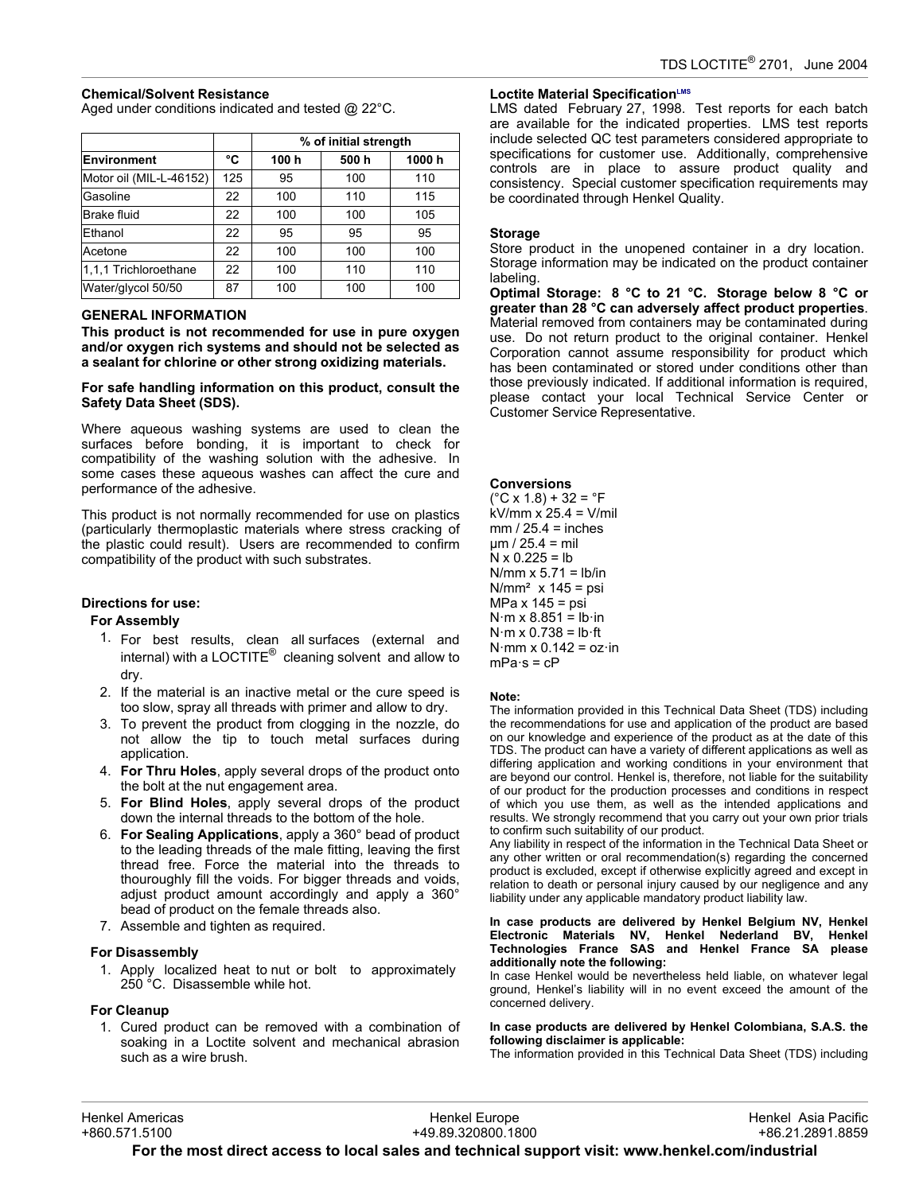### **Chemical/Solvent Resistance**

Aged under conditions indicated and tested @ 22°C.

|                         |     | % of initial strength |      |        |  |
|-------------------------|-----|-----------------------|------|--------|--|
| <b>Environment</b>      | °C  | 100 h                 | 500h | 1000 h |  |
| Motor oil (MIL-L-46152) | 125 | 95                    | 100  | 110    |  |
| Gasoline                | 22  | 100                   | 110  | 115    |  |
| <b>Brake fluid</b>      | 22  | 100                   | 100  | 105    |  |
| Ethanol                 | 22  | 95                    | 95   | 95     |  |
| Acetone                 | 22  | 100                   | 100  | 100    |  |
| 1,1,1 Trichloroethane   | 22  | 100                   | 110  | 110    |  |
| Water/glycol 50/50      | 87  | 100                   | 100  | 100    |  |

### **GENERAL INFORMATION**

**This product is not recommended for use in pure oxygen and/or oxygen rich systems and should not be selected as a sealant for chlorine or other strong oxidizing materials.**

#### **For safe handling information on this product, consult the Safety Data Sheet (SDS).**

Where aqueous washing systems are used to clean the surfaces before bonding, it is important to check for compatibility of the washing solution with the adhesive. In some cases these aqueous washes can affect the cure and performance of the adhesive.

This product is not normally recommended for use on plastics (particularly thermoplastic materials where stress cracking of the plastic could result). Users are recommended to confirm compatibility of the product with such substrates.

## **Directions for use:**

### **For Assembly**

- 1. For best results, clean all surfaces (external and internal) with a LOCTITE $^{\circledR}$  cleaning solvent and allow to dry.
- 2. If the material is an inactive metal or the cure speed is too slow, spray all threads with primer and allow to dry.
- 3. To prevent the product from clogging in the nozzle, do not allow the tip to touch metal surfaces during application.
- 4. **For Thru Holes**, apply several drops of the product onto the bolt at the nut engagement area.
- 5. **For Blind Holes**, apply several drops of the product down the internal threads to the bottom of the hole.
- 6. **For Sealing Applications**, apply a 360° bead of product to the leading threads of the male fitting, leaving the first thread free. Force the material into the threads to thouroughly fill the voids. For bigger threads and voids, adjust product amount accordingly and apply a 360° bead of product on the female threads also.
- 7. Assemble and tighten as required.

### **For Disassembly**

1. Apply localized heat to nut or bolt to approximately 250 °C. Disassemble while hot.

### **For Cleanup**

1. Cured product can be removed with a combination of soaking in a Loctite solvent and mechanical abrasion such as a wire brush.

### **Loctite Material SpecificationLMS**

LMS dated February 27, 1998. Test reports for each batch are available for the indicated properties. LMS test reports include selected QC test parameters considered appropriate to specifications for customer use. Additionally, comprehensive controls are in place to assure product quality and consistency. Special customer specification requirements may be coordinated through Henkel Quality.

### **Storage**

Store product in the unopened container in a dry location. Storage information may be indicated on the product container labeling.

**Optimal Storage: 8 °C to 21 °C. Storage below 8 °C or greater than 28 °C can adversely affect product properties**. Material removed from containers may be contaminated during use. Do not return product to the original container. Henkel Corporation cannot assume responsibility for product which has been contaminated or stored under conditions other than those previously indicated. If additional information is required, please contact your local Technical Service Center or Customer Service Representative.

#### **Conversions**

 $(^{\circ}C$  x 1.8) + 32 =  $^{\circ}F$ kV/mm x 25.4 = V/mil  $mm / 25.4 = inches$  $um / 25.4 = mil$  $N \times 0.225 = lb$  $N/mm \times 5.71 = lb/in$  $N/mm<sup>2</sup>$  x 145 = psi MPa x 145 = psi  $N·m \times 8.851 = lb·in$  $N·m \times 0.738 = lb·ft$  $N·mm \times 0.142 = oz·in$  $mPa·s = cP$ 

#### **Note:**

The information provided in this Technical Data Sheet (TDS) including the recommendations for use and application of the product are based on our knowledge and experience of the product as at the date of this TDS. The product can have a variety of different applications as well as differing application and working conditions in your environment that are beyond our control. Henkel is, therefore, not liable for the suitability of our product for the production processes and conditions in respect of which you use them, as well as the intended applications and results. We strongly recommend that you carry out your own prior trials to confirm such suitability of our product.

Any liability in respect of the information in the Technical Data Sheet or any other written or oral recommendation(s) regarding the concerned product is excluded, except if otherwise explicitly agreed and except in relation to death or personal injury caused by our negligence and any liability under any applicable mandatory product liability law.

#### **In case products are delivered by Henkel Belgium NV, Henkel Electronic Materials NV, Henkel Nederland BV, Henkel Technologies France SAS and Henkel France SA please additionally note the following:**

In case Henkel would be nevertheless held liable, on whatever legal ground, Henkel's liability will in no event exceed the amount of the concerned delivery.

#### **In case products are delivered by Henkel Colombiana, S.A.S. the following disclaimer is applicable:**

The information provided in this Technical Data Sheet (TDS) including